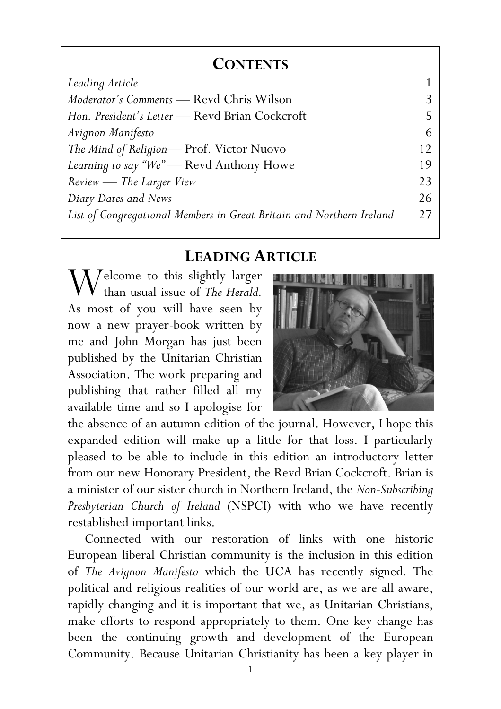## **CONTENTS**

| Leading Article                                                      |    |
|----------------------------------------------------------------------|----|
| <i>Moderator's Comments</i> — Revd Chris Wilson                      |    |
| Hon. President's Letter — Revd Brian Cockcroft                       |    |
| Avignon Manifesto                                                    | 6  |
| The Mind of Religion-Prof. Victor Nuovo                              | 12 |
| Learning to say "We" — Revd Anthony Howe                             |    |
| Review - The Larger View                                             |    |
| Diary Dates and News                                                 | 26 |
| List of Congregational Members in Great Britain and Northern Ireland | 27 |

# LEADING ARTICLE

 $\sum_{\text{1}}^{\text{2}}$  and  $\sum_{\text{2}}^{\text{2}}$  and  $\sum_{\text{3}}^{\text{2}}$  and  $\sum_{\text{4}}^{\text{2}}$  and  $\sum_{\text{5}}^{\text{2}}$  and  $\sum_{\text{6}}^{\text{2}}$  and  $\sum_{\text{7}}^{\text{2}}$  and  $\sum_{\text{8}}^{\text{2}}$  and  $\sum_{\text{8}}^{\text{2}}$  and  $\sum_{\text{8}}^{\text{2}}$  and  $\sum_{\text{8}}^{\$ than usual issue of The Herald. As most of you will have seen by now a new prayer-book written by me and John Morgan has just been published by the Unitarian Christian Association. The work preparing and publishing that rather filled all my available time and so I apologise for



the absence of an autumn edition of the journal. However, I hope this expanded edition will make up a little for that loss. I particularly pleased to be able to include in this edition an introductory letter from our new Honorary President, the Revd Brian Cockcroft. Brian is a minister of our sister church in Northern Ireland, the Non-Subscribing Presbyterian Church of Ireland (NSPCI) with who we have recently restablished important links.

 Connected with our restoration of links with one historic European liberal Christian community is the inclusion in this edition of The Avignon Manifesto which the UCA has recently signed. The political and religious realities of our world are, as we are all aware, rapidly changing and it is important that we, as Unitarian Christians, make efforts to respond appropriately to them. One key change has been the continuing growth and development of the European Community. Because Unitarian Christianity has been a key player in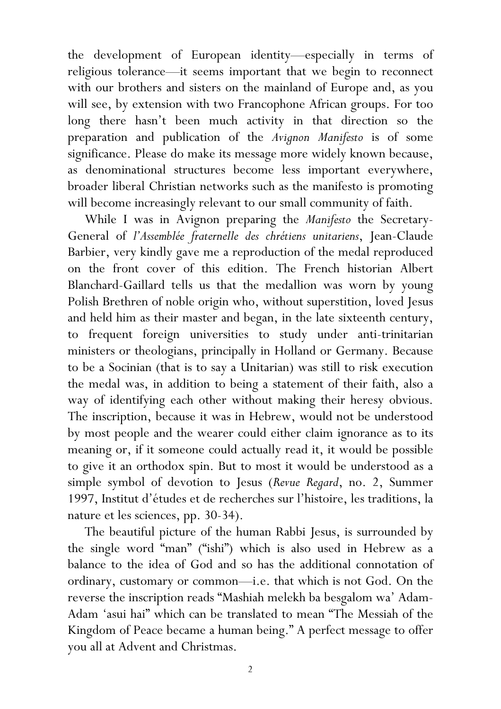the development of European identity—especially in terms of religious tolerance—it seems important that we begin to reconnect with our brothers and sisters on the mainland of Europe and, as you will see, by extension with two Francophone African groups. For too long there hasn't been much activity in that direction so the preparation and publication of the Avignon Manifesto is of some significance. Please do make its message more widely known because, as denominational structures become less important everywhere, broader liberal Christian networks such as the manifesto is promoting will become increasingly relevant to our small community of faith.

While I was in Avignon preparing the Manifesto the Secretary-General of l'Assemblée fraternelle des chrétiens unitariens, Jean-Claude Barbier, very kindly gave me a reproduction of the medal reproduced on the front cover of this edition. The French historian Albert Blanchard-Gaillard tells us that the medallion was worn by young Polish Brethren of noble origin who, without superstition, loved Jesus and held him as their master and began, in the late sixteenth century, to frequent foreign universities to study under anti-trinitarian ministers or theologians, principally in Holland or Germany. Because to be a Socinian (that is to say a Unitarian) was still to risk execution the medal was, in addition to being a statement of their faith, also a way of identifying each other without making their heresy obvious. The inscription, because it was in Hebrew, would not be understood by most people and the wearer could either claim ignorance as to its meaning or, if it someone could actually read it, it would be possible to give it an orthodox spin. But to most it would be understood as a simple symbol of devotion to Jesus (Revue Regard, no. 2, Summer 1997, Institut d'études et de recherches sur l'histoire, les traditions, la nature et les sciences, pp. 30-34).

 The beautiful picture of the human Rabbi Jesus, is surrounded by the single word "man" ("ishi") which is also used in Hebrew as a balance to the idea of God and so has the additional connotation of ordinary, customary or common—i.e. that which is not God. On the reverse the inscription reads "Mashiah melekh ba besgalom wa' Adam-Adam 'asui hai" which can be translated to mean "The Messiah of the Kingdom of Peace became a human being." A perfect message to offer you all at Advent and Christmas.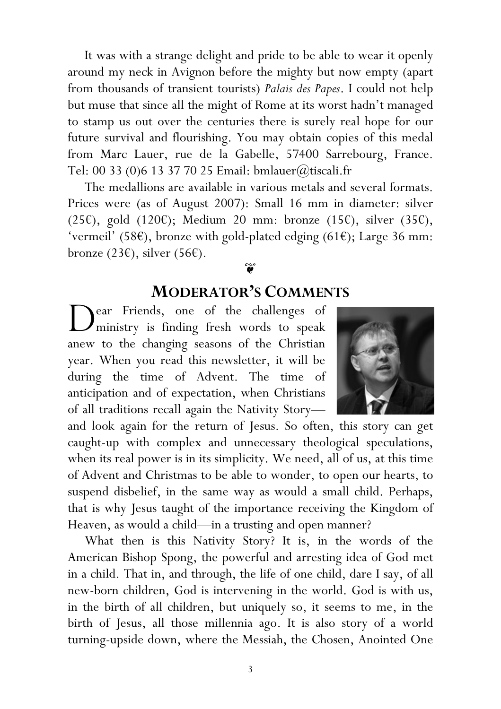It was with a strange delight and pride to be able to wear it openly around my neck in Avignon before the mighty but now empty (apart from thousands of transient tourists) Palais des Papes. I could not help but muse that since all the might of Rome at its worst hadn't managed to stamp us out over the centuries there is surely real hope for our future survival and flourishing. You may obtain copies of this medal from Marc Lauer, rue de la Gabelle, 57400 Sarrebourg, France. Tel: 00 33 (0)6 13 37 70 25 Email: bmlauer@tiscali.fr

The medallions are available in various metals and several formats. Prices were (as of August 2007): Small 16 mm in diameter: silver (25€), gold (120€); Medium 20 mm: bronze (15€), silver (35€), 'vermeil' (58€), bronze with gold-plated edging (61€); Large 36 mm: bronze (23€), silver (56€).

## $\widetilde{\mathbf{v}}$

# MODERATOR'S COMMENTS

ear Friends, one of the challenges of Dear Friends, one of the challenges of<br>
ministry is finding fresh words to speak anew to the changing seasons of the Christian year. When you read this newsletter, it will be during the time of Advent. The time of anticipation and of expectation, when Christians of all traditions recall again the Nativity Story—



and look again for the return of Jesus. So often, this story can get caught-up with complex and unnecessary theological speculations, when its real power is in its simplicity. We need, all of us, at this time of Advent and Christmas to be able to wonder, to open our hearts, to suspend disbelief, in the same way as would a small child. Perhaps, that is why Jesus taught of the importance receiving the Kingdom of Heaven, as would a child—in a trusting and open manner?

What then is this Nativity Story? It is, in the words of the American Bishop Spong, the powerful and arresting idea of God met in a child. That in, and through, the life of one child, dare I say, of all new-born children, God is intervening in the world. God is with us, in the birth of all children, but uniquely so, it seems to me, in the birth of Jesus, all those millennia ago. It is also story of a world turning-upside down, where the Messiah, the Chosen, Anointed One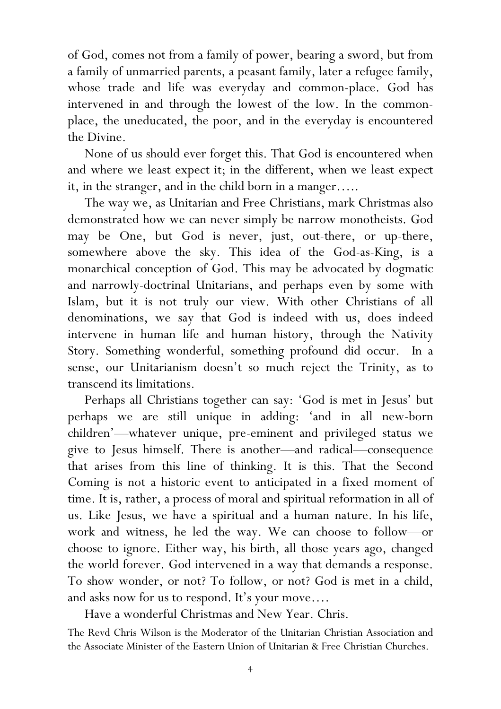of God, comes not from a family of power, bearing a sword, but from a family of unmarried parents, a peasant family, later a refugee family, whose trade and life was everyday and common-place. God has intervened in and through the lowest of the low. In the commonplace, the uneducated, the poor, and in the everyday is encountered the Divine.

None of us should ever forget this. That God is encountered when and where we least expect it; in the different, when we least expect it, in the stranger, and in the child born in a manger…..

The way we, as Unitarian and Free Christians, mark Christmas also demonstrated how we can never simply be narrow monotheists. God may be One, but God is never, just, out-there, or up-there, somewhere above the sky. This idea of the God-as-King, is a monarchical conception of God. This may be advocated by dogmatic and narrowly-doctrinal Unitarians, and perhaps even by some with Islam, but it is not truly our view. With other Christians of all denominations, we say that God is indeed with us, does indeed intervene in human life and human history, through the Nativity Story. Something wonderful, something profound did occur. In a sense, our Unitarianism doesn't so much reject the Trinity, as to transcend its limitations.

Perhaps all Christians together can say: 'God is met in Jesus' but perhaps we are still unique in adding: 'and in all new-born children'—whatever unique, pre-eminent and privileged status we give to Jesus himself. There is another—and radical—consequence that arises from this line of thinking. It is this. That the Second Coming is not a historic event to anticipated in a fixed moment of time. It is, rather, a process of moral and spiritual reformation in all of us. Like Jesus, we have a spiritual and a human nature. In his life, work and witness, he led the way. We can choose to follow—or choose to ignore. Either way, his birth, all those years ago, changed the world forever. God intervened in a way that demands a response. To show wonder, or not? To follow, or not? God is met in a child, and asks now for us to respond. It's your move….

Have a wonderful Christmas and New Year. Chris.

The Revd Chris Wilson is the Moderator of the Unitarian Christian Association and the Associate Minister of the Eastern Union of Unitarian & Free Christian Churches.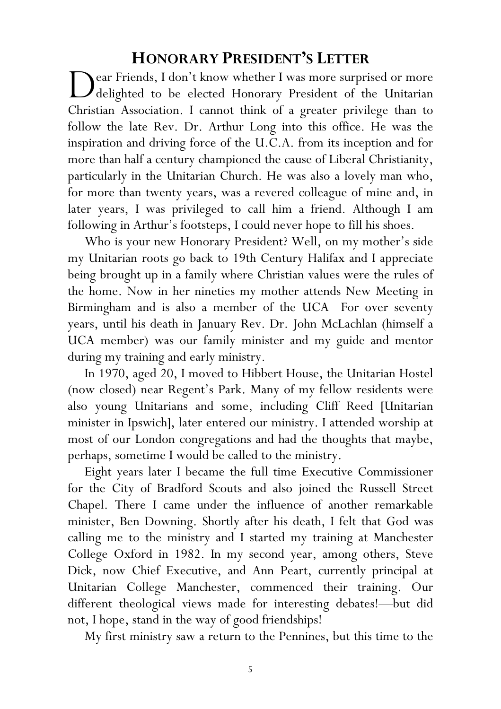## HONORARY PRESIDENT'S LETTER

ear Friends, I don't know whether I was more surprised or more<br>deliphted to be elected Honorary President of the Unitarian delighted to be elected Honorary President of the Unitarian Christian Association. I cannot think of a greater privilege than to follow the late Rev. Dr. Arthur Long into this office. He was the inspiration and driving force of the U.C.A. from its inception and for more than half a century championed the cause of Liberal Christianity, particularly in the Unitarian Church. He was also a lovely man who, for more than twenty years, was a revered colleague of mine and, in later years, I was privileged to call him a friend. Although I am following in Arthur's footsteps, I could never hope to fill his shoes.

Who is your new Honorary President? Well, on my mother's side my Unitarian roots go back to 19th Century Halifax and I appreciate being brought up in a family where Christian values were the rules of the home. Now in her nineties my mother attends New Meeting in Birmingham and is also a member of the UCA For over seventy years, until his death in January Rev. Dr. John McLachlan (himself a UCA member) was our family minister and my guide and mentor during my training and early ministry.

In 1970, aged 20, I moved to Hibbert House, the Unitarian Hostel (now closed) near Regent's Park. Many of my fellow residents were also young Unitarians and some, including Cliff Reed [Unitarian minister in Ipswich], later entered our ministry. I attended worship at most of our London congregations and had the thoughts that maybe, perhaps, sometime I would be called to the ministry.

Eight years later I became the full time Executive Commissioner for the City of Bradford Scouts and also joined the Russell Street Chapel. There I came under the influence of another remarkable minister, Ben Downing. Shortly after his death, I felt that God was calling me to the ministry and I started my training at Manchester College Oxford in 1982. In my second year, among others, Steve Dick, now Chief Executive, and Ann Peart, currently principal at Unitarian College Manchester, commenced their training. Our different theological views made for interesting debates!—but did not, I hope, stand in the way of good friendships!

My first ministry saw a return to the Pennines, but this time to the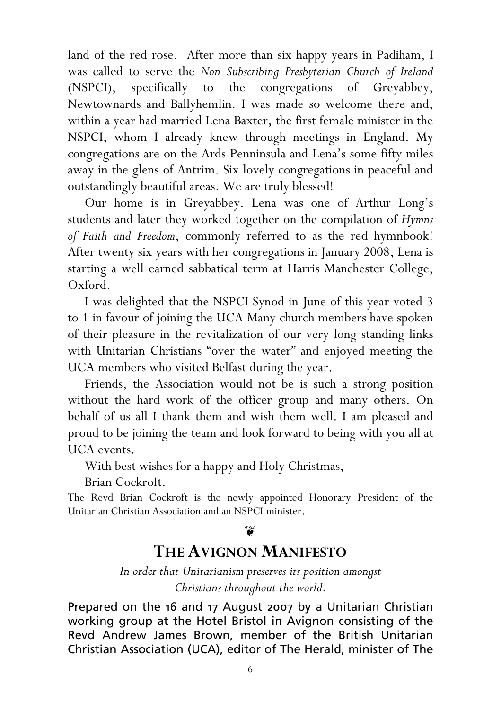land of the red rose. After more than six happy years in Padiham, I was called to serve the Non Subscribing Presbyterian Church of Ireland (NSPCI), specifically to the congregations of Greyabbey, Newtownards and Ballyhemlin. I was made so welcome there and, within a year had married Lena Baxter, the first female minister in the NSPCI, whom I already knew through meetings in England. My congregations are on the Ards Penninsula and Lena's some fifty miles away in the glens of Antrim. Six lovely congregations in peaceful and outstandingly beautiful areas. We are truly blessed!

Our home is in Greyabbey. Lena was one of Arthur Long's students and later they worked together on the compilation of Hymns of Faith and Freedom, commonly referred to as the red hymnbook! After twenty six years with her congregations in January 2008, Lena is starting a well earned sabbatical term at Harris Manchester College, Oxford.

I was delighted that the NSPCI Synod in June of this year voted 3 to 1 in favour of joining the UCA Many church members have spoken of their pleasure in the revitalization of our very long standing links with Unitarian Christians "over the water" and enjoyed meeting the UCA members who visited Belfast during the year.

Friends, the Association would not be is such a strong position without the hard work of the officer group and many others. On behalf of us all I thank them and wish them well. I am pleased and proud to be joining the team and look forward to being with you all at UCA events.

With best wishes for a happy and Holy Christmas,

Brian Cockroft.

The Revd Brian Cockroft is the newly appointed Honorary President of the Unitarian Christian Association and an NSPCI minister.

#### $\widetilde{\mathbf{v}}$

## THE AVIGNON MANIFESTO

In order that Unitarianism preserves its position amongst Christians throughout the world.

Prepared on the 16 and 17 August 2007 by a Unitarian Christian working group at the Hotel Bristol in Avignon consisting of the Revd Andrew James Brown, member of the British Unitarian Christian Association (UCA), editor of The Herald, minister of The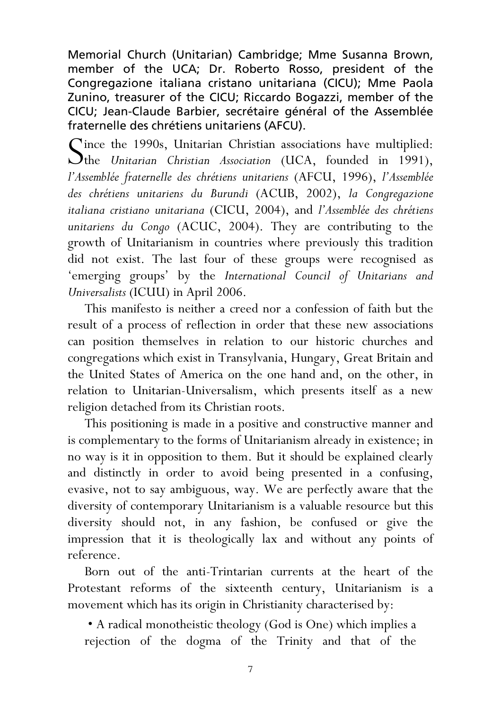Memorial Church (Unitarian) Cambridge; Mme Susanna Brown, member of the UCA; Dr. Roberto Rosso, president of the Congregazione italiana cristano unitariana (CICU); Mme Paola Zunino, treasurer of the CICU; Riccardo Bogazzi, member of the CICU; Jean-Claude Barbier, secrétaire général of the Assemblée fraternelle des chrétiens unitariens (AFCU).

Since the 1990s, Unitarian Christian associations have multiplied:<br>
Sthe Unitarian Christian Association (UCA, founded in 1991),  $\mathcal{O}$ the Unitarian Christian Association (UCA, founded in 1991), l'Assemblée fraternelle des chrétiens unitariens (AFCU, 1996), l'Assemblée des chrétiens unitariens du Burundi (ACUB, 2002), la Congregazione italiana cristiano unitariana (CICU, 2004), and l'Assemblée des chrétiens unitariens du Congo (ACUC, 2004). They are contributing to the growth of Unitarianism in countries where previously this tradition did not exist. The last four of these groups were recognised as 'emerging groups' by the International Council of Unitarians and Universalists (ICUU) in April 2006.

This manifesto is neither a creed nor a confession of faith but the result of a process of reflection in order that these new associations can position themselves in relation to our historic churches and congregations which exist in Transylvania, Hungary, Great Britain and the United States of America on the one hand and, on the other, in relation to Unitarian-Universalism, which presents itself as a new religion detached from its Christian roots.

This positioning is made in a positive and constructive manner and is complementary to the forms of Unitarianism already in existence; in no way is it in opposition to them. But it should be explained clearly and distinctly in order to avoid being presented in a confusing, evasive, not to say ambiguous, way. We are perfectly aware that the diversity of contemporary Unitarianism is a valuable resource but this diversity should not, in any fashion, be confused or give the impression that it is theologically lax and without any points of reference.

Born out of the anti-Trintarian currents at the heart of the Protestant reforms of the sixteenth century, Unitarianism is a movement which has its origin in Christianity characterised by:

 • A radical monotheistic theology (God is One) which implies a rejection of the dogma of the Trinity and that of the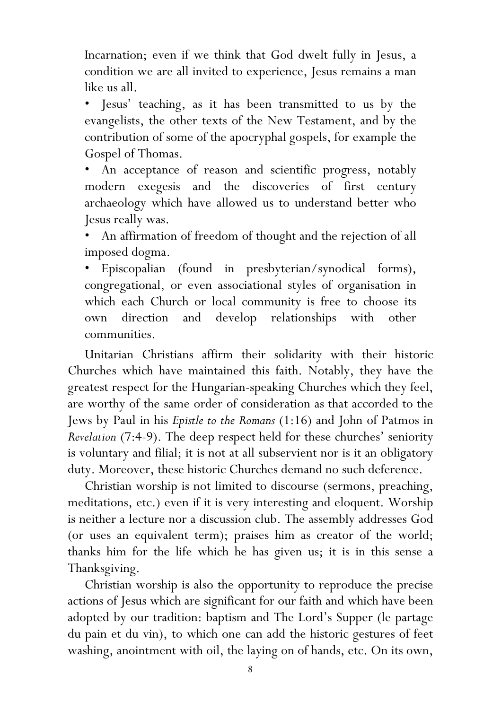Incarnation; even if we think that God dwelt fully in Jesus, a condition we are all invited to experience, Jesus remains a man like us all.

• Jesus' teaching, as it has been transmitted to us by the evangelists, the other texts of the New Testament, and by the contribution of some of the apocryphal gospels, for example the Gospel of Thomas.

An acceptance of reason and scientific progress, notably modern exegesis and the discoveries of first century archaeology which have allowed us to understand better who Jesus really was.

• An affirmation of freedom of thought and the rejection of all imposed dogma.

• Episcopalian (found in presbyterian/synodical forms), congregational, or even associational styles of organisation in which each Church or local community is free to choose its own direction and develop relationships with other communities.

Unitarian Christians affirm their solidarity with their historic Churches which have maintained this faith. Notably, they have the greatest respect for the Hungarian-speaking Churches which they feel, are worthy of the same order of consideration as that accorded to the Jews by Paul in his Epistle to the Romans (1:16) and John of Patmos in Revelation (7:4-9). The deep respect held for these churches' seniority is voluntary and filial; it is not at all subservient nor is it an obligatory duty. Moreover, these historic Churches demand no such deference.

 Christian worship is not limited to discourse (sermons, preaching, meditations, etc.) even if it is very interesting and eloquent. Worship is neither a lecture nor a discussion club. The assembly addresses God (or uses an equivalent term); praises him as creator of the world; thanks him for the life which he has given us; it is in this sense a Thanksgiving.

Christian worship is also the opportunity to reproduce the precise actions of Jesus which are significant for our faith and which have been adopted by our tradition: baptism and The Lord's Supper (le partage du pain et du vin), to which one can add the historic gestures of feet washing, anointment with oil, the laying on of hands, etc. On its own,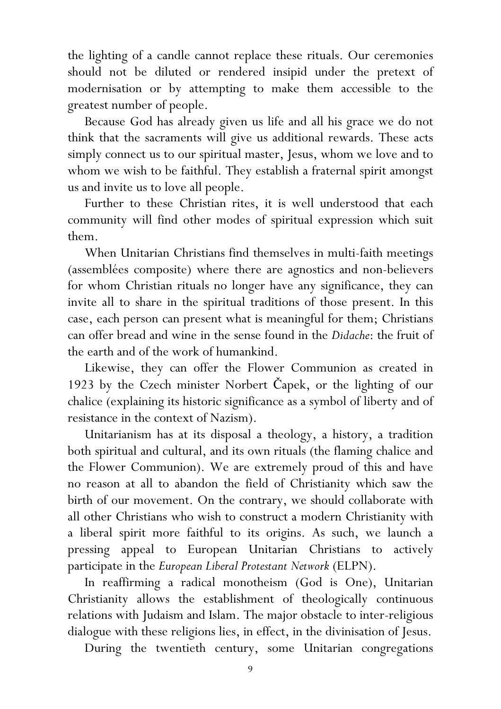the lighting of a candle cannot replace these rituals. Our ceremonies should not be diluted or rendered insipid under the pretext of modernisation or by attempting to make them accessible to the greatest number of people.

Because God has already given us life and all his grace we do not think that the sacraments will give us additional rewards. These acts simply connect us to our spiritual master, Jesus, whom we love and to whom we wish to be faithful. They establish a fraternal spirit amongst us and invite us to love all people.

Further to these Christian rites, it is well understood that each community will find other modes of spiritual expression which suit them.

When Unitarian Christians find themselves in multi-faith meetings (assemblées composite) where there are agnostics and non-believers for whom Christian rituals no longer have any significance, they can invite all to share in the spiritual traditions of those present. In this case, each person can present what is meaningful for them; Christians can offer bread and wine in the sense found in the Didache: the fruit of the earth and of the work of humankind.

Likewise, they can offer the Flower Communion as created in 1923 by the Czech minister Norbert Čapek, or the lighting of our chalice (explaining its historic significance as a symbol of liberty and of resistance in the context of Nazism).

Unitarianism has at its disposal a theology, a history, a tradition both spiritual and cultural, and its own rituals (the flaming chalice and the Flower Communion). We are extremely proud of this and have no reason at all to abandon the field of Christianity which saw the birth of our movement. On the contrary, we should collaborate with all other Christians who wish to construct a modern Christianity with a liberal spirit more faithful to its origins. As such, we launch a pressing appeal to European Unitarian Christians to actively participate in the European Liberal Protestant Network (ELPN).

In reaffirming a radical monotheism (God is One), Unitarian Christianity allows the establishment of theologically continuous relations with Judaism and Islam. The major obstacle to inter-religious dialogue with these religions lies, in effect, in the divinisation of Jesus.

During the twentieth century, some Unitarian congregations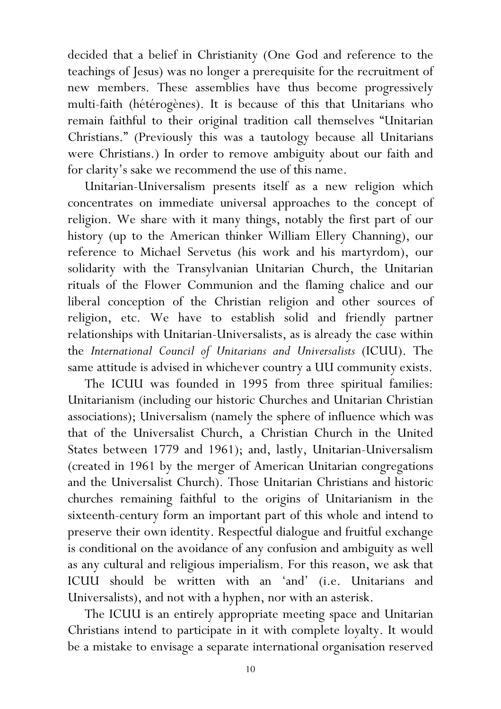decided that a belief in Christianity (One God and reference to the teachings of Jesus) was no longer a prerequisite for the recruitment of new members. These assemblies have thus become progressively multi-faith (hétérogènes). It is because of this that Unitarians who remain faithful to their original tradition call themselves "Unitarian Christians." (Previously this was a tautology because all Unitarians were Christians.) In order to remove ambiguity about our faith and for clarity's sake we recommend the use of this name.

Unitarian-Universalism presents itself as a new religion which concentrates on immediate universal approaches to the concept of religion. We share with it many things, notably the first part of our history (up to the American thinker William Ellery Channing), our reference to Michael Servetus (his work and his martyrdom), our solidarity with the Transylvanian Unitarian Church, the Unitarian rituals of the Flower Communion and the flaming chalice and our liberal conception of the Christian religion and other sources of religion, etc. We have to establish solid and friendly partner relationships with Unitarian-Universalists, as is already the case within the International Council of Unitarians and Universalists (ICUU). The same attitude is advised in whichever country a UU community exists.

The ICUU was founded in 1995 from three spiritual families: Unitarianism (including our historic Churches and Unitarian Christian associations); Universalism (namely the sphere of influence which was that of the Universalist Church, a Christian Church in the United States between 1779 and 1961); and, lastly, Unitarian-Universalism (created in 1961 by the merger of American Unitarian congregations and the Universalist Church). Those Unitarian Christians and historic churches remaining faithful to the origins of Unitarianism in the sixteenth-century form an important part of this whole and intend to preserve their own identity. Respectful dialogue and fruitful exchange is conditional on the avoidance of any confusion and ambiguity as well as any cultural and religious imperialism. For this reason, we ask that ICUU should be written with an 'and' (i.e. Unitarians and Universalists), and not with a hyphen, nor with an asterisk.

The ICUU is an entirely appropriate meeting space and Unitarian Christians intend to participate in it with complete loyalty. It would be a mistake to envisage a separate international organisation reserved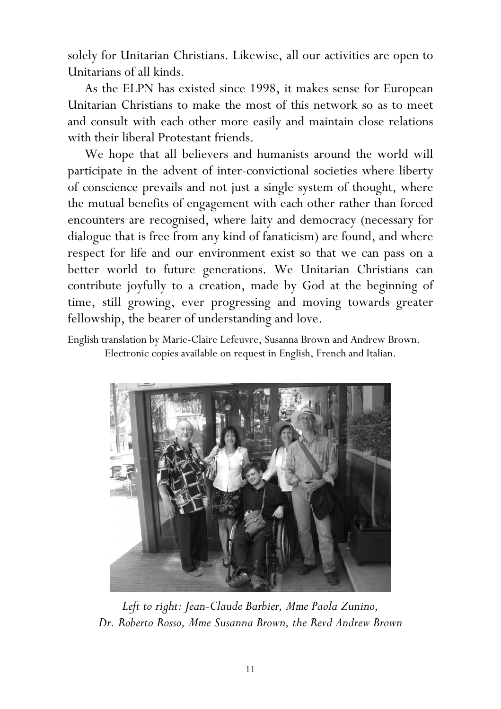solely for Unitarian Christians. Likewise, all our activities are open to Unitarians of all kinds.

As the ELPN has existed since 1998, it makes sense for European Unitarian Christians to make the most of this network so as to meet and consult with each other more easily and maintain close relations with their liberal Protestant friends.

We hope that all believers and humanists around the world will participate in the advent of inter-convictional societies where liberty of conscience prevails and not just a single system of thought, where the mutual benefits of engagement with each other rather than forced encounters are recognised, where laity and democracy (necessary for dialogue that is free from any kind of fanaticism) are found, and where respect for life and our environment exist so that we can pass on a better world to future generations. We Unitarian Christians can contribute joyfully to a creation, made by God at the beginning of time, still growing, ever progressing and moving towards greater fellowship, the bearer of understanding and love.

English translation by Marie-Claire Lefeuvre, Susanna Brown and Andrew Brown. Electronic copies available on request in English, French and Italian.



Left to right: Jean-Claude Barbier, Mme Paola Zunino, Dr. Roberto Rosso, Mme Susanna Brown, the Revd Andrew Brown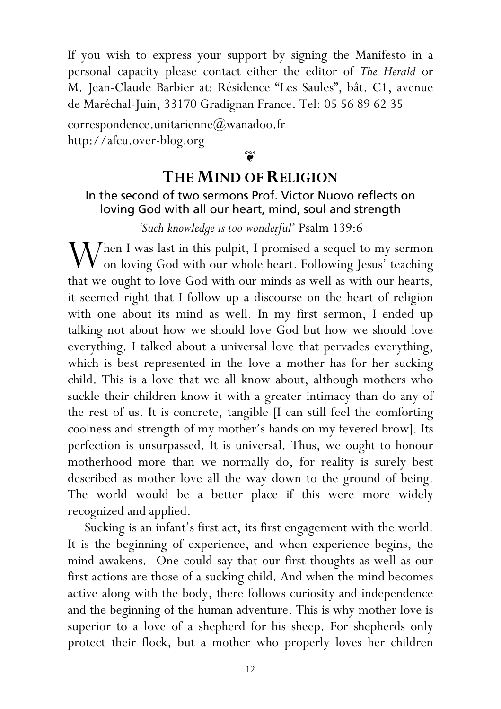If you wish to express your support by signing the Manifesto in a personal capacity please contact either the editor of The Herald or M. Jean-Claude Barbier at: Résidence "Les Saules", bât. C1, avenue de Maréchal-Juin, 33170 Gradignan France. Tel: 05 56 89 62 35

correspondence.unitarienne@wanadoo.fr http://afcu.over-blog.org

 $\widetilde{\bullet}$ 

## THE MIND OF RELIGION

#### In the second of two sermons Prof. Victor Nuovo reflects on loving God with all our heart, mind, soul and strength

#### 'Such knowledge is too wonderful' Psalm 139:6

When I was last in this pulpit, I promised a sequel to my sermon<br>on loving God with our whole heart. Following Iesus' teaching on loving God with our whole heart. Following Jesus' teaching that we ought to love God with our minds as well as with our hearts, it seemed right that I follow up a discourse on the heart of religion with one about its mind as well. In my first sermon, I ended up talking not about how we should love God but how we should love everything. I talked about a universal love that pervades everything, which is best represented in the love a mother has for her sucking child. This is a love that we all know about, although mothers who suckle their children know it with a greater intimacy than do any of the rest of us. It is concrete, tangible [I can still feel the comforting coolness and strength of my mother's hands on my fevered brow]. Its perfection is unsurpassed. It is universal. Thus, we ought to honour motherhood more than we normally do, for reality is surely best described as mother love all the way down to the ground of being. The world would be a better place if this were more widely recognized and applied.

 Sucking is an infant's first act, its first engagement with the world. It is the beginning of experience, and when experience begins, the mind awakens. One could say that our first thoughts as well as our first actions are those of a sucking child. And when the mind becomes active along with the body, there follows curiosity and independence and the beginning of the human adventure. This is why mother love is superior to a love of a shepherd for his sheep. For shepherds only protect their flock, but a mother who properly loves her children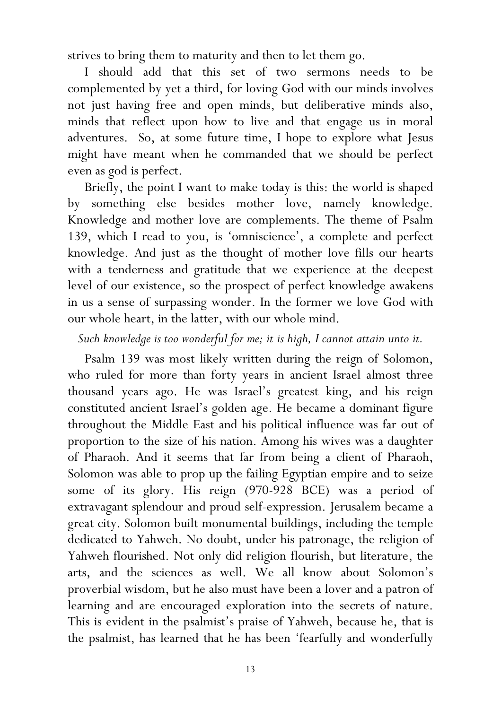strives to bring them to maturity and then to let them go.

 I should add that this set of two sermons needs to be complemented by yet a third, for loving God with our minds involves not just having free and open minds, but deliberative minds also, minds that reflect upon how to live and that engage us in moral adventures. So, at some future time, I hope to explore what Jesus might have meant when he commanded that we should be perfect even as god is perfect.

 Briefly, the point I want to make today is this: the world is shaped by something else besides mother love, namely knowledge. Knowledge and mother love are complements. The theme of Psalm 139, which I read to you, is 'omniscience', a complete and perfect knowledge. And just as the thought of mother love fills our hearts with a tenderness and gratitude that we experience at the deepest level of our existence, so the prospect of perfect knowledge awakens in us a sense of surpassing wonder. In the former we love God with our whole heart, in the latter, with our whole mind.

#### Such knowledge is too wonderful for me; it is high, I cannot attain unto it.

Psalm 139 was most likely written during the reign of Solomon, who ruled for more than forty years in ancient Israel almost three thousand years ago. He was Israel's greatest king, and his reign constituted ancient Israel's golden age. He became a dominant figure throughout the Middle East and his political influence was far out of proportion to the size of his nation. Among his wives was a daughter of Pharaoh. And it seems that far from being a client of Pharaoh, Solomon was able to prop up the failing Egyptian empire and to seize some of its glory. His reign (970-928 BCE) was a period of extravagant splendour and proud self-expression. Jerusalem became a great city. Solomon built monumental buildings, including the temple dedicated to Yahweh. No doubt, under his patronage, the religion of Yahweh flourished. Not only did religion flourish, but literature, the arts, and the sciences as well. We all know about Solomon's proverbial wisdom, but he also must have been a lover and a patron of learning and are encouraged exploration into the secrets of nature. This is evident in the psalmist's praise of Yahweh, because he, that is the psalmist, has learned that he has been 'fearfully and wonderfully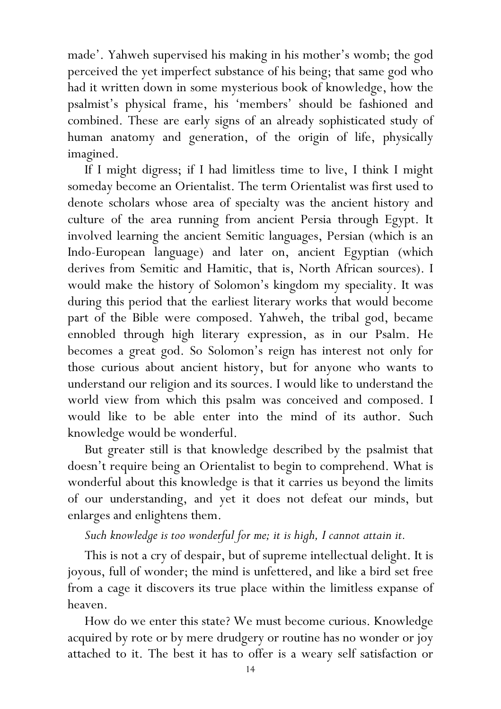made'. Yahweh supervised his making in his mother's womb; the god perceived the yet imperfect substance of his being; that same god who had it written down in some mysterious book of knowledge, how the psalmist's physical frame, his 'members' should be fashioned and combined. These are early signs of an already sophisticated study of human anatomy and generation, of the origin of life, physically imagined.

 If I might digress; if I had limitless time to live, I think I might someday become an Orientalist. The term Orientalist was first used to denote scholars whose area of specialty was the ancient history and culture of the area running from ancient Persia through Egypt. It involved learning the ancient Semitic languages, Persian (which is an Indo-European language) and later on, ancient Egyptian (which derives from Semitic and Hamitic, that is, North African sources). I would make the history of Solomon's kingdom my speciality. It was during this period that the earliest literary works that would become part of the Bible were composed. Yahweh, the tribal god, became ennobled through high literary expression, as in our Psalm. He becomes a great god. So Solomon's reign has interest not only for those curious about ancient history, but for anyone who wants to understand our religion and its sources. I would like to understand the world view from which this psalm was conceived and composed. I would like to be able enter into the mind of its author. Such knowledge would be wonderful.

 But greater still is that knowledge described by the psalmist that doesn't require being an Orientalist to begin to comprehend. What is wonderful about this knowledge is that it carries us beyond the limits of our understanding, and yet it does not defeat our minds, but enlarges and enlightens them.

## Such knowledge is too wonderful for me; it is high, I cannot attain it.

This is not a cry of despair, but of supreme intellectual delight. It is joyous, full of wonder; the mind is unfettered, and like a bird set free from a cage it discovers its true place within the limitless expanse of heaven.

 How do we enter this state? We must become curious. Knowledge acquired by rote or by mere drudgery or routine has no wonder or joy attached to it. The best it has to offer is a weary self satisfaction or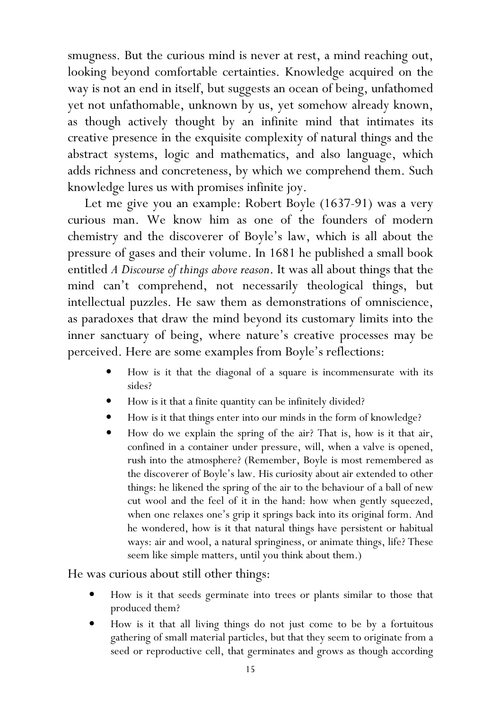smugness. But the curious mind is never at rest, a mind reaching out, looking beyond comfortable certainties. Knowledge acquired on the way is not an end in itself, but suggests an ocean of being, unfathomed yet not unfathomable, unknown by us, yet somehow already known, as though actively thought by an infinite mind that intimates its creative presence in the exquisite complexity of natural things and the abstract systems, logic and mathematics, and also language, which adds richness and concreteness, by which we comprehend them. Such knowledge lures us with promises infinite joy.

 Let me give you an example: Robert Boyle (1637-91) was a very curious man. We know him as one of the founders of modern chemistry and the discoverer of Boyle's law, which is all about the pressure of gases and their volume. In 1681 he published a small book entitled A Discourse of things above reason. It was all about things that the mind can't comprehend, not necessarily theological things, but intellectual puzzles. He saw them as demonstrations of omniscience, as paradoxes that draw the mind beyond its customary limits into the inner sanctuary of being, where nature's creative processes may be perceived. Here are some examples from Boyle's reflections:

- How is it that the diagonal of a square is incommensurate with its sides?
- How is it that a finite quantity can be infinitely divided?
- How is it that things enter into our minds in the form of knowledge?
- How do we explain the spring of the air? That is, how is it that air, confined in a container under pressure, will, when a valve is opened, rush into the atmosphere? (Remember, Boyle is most remembered as the discoverer of Boyle's law. His curiosity about air extended to other things: he likened the spring of the air to the behaviour of a ball of new cut wool and the feel of it in the hand: how when gently squeezed, when one relaxes one's grip it springs back into its original form. And he wondered, how is it that natural things have persistent or habitual ways: air and wool, a natural springiness, or animate things, life? These seem like simple matters, until you think about them.)

He was curious about still other things:

- How is it that seeds germinate into trees or plants similar to those that produced them?
- How is it that all living things do not just come to be by a fortuitous gathering of small material particles, but that they seem to originate from a seed or reproductive cell, that germinates and grows as though according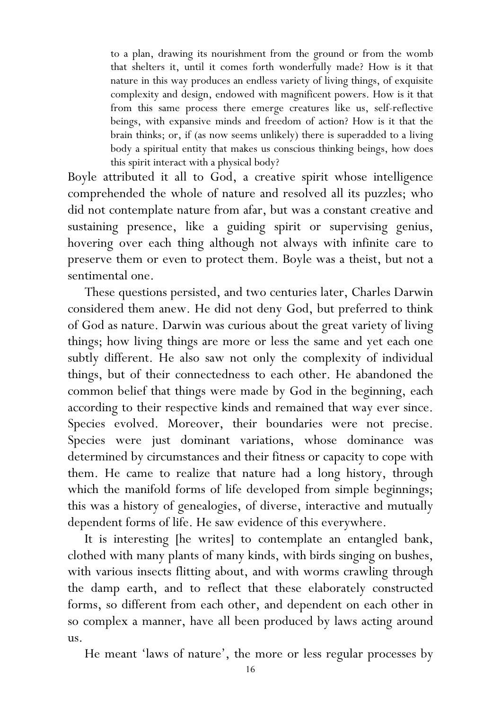to a plan, drawing its nourishment from the ground or from the womb that shelters it, until it comes forth wonderfully made? How is it that nature in this way produces an endless variety of living things, of exquisite complexity and design, endowed with magnificent powers. How is it that from this same process there emerge creatures like us, self-reflective beings, with expansive minds and freedom of action? How is it that the brain thinks; or, if (as now seems unlikely) there is superadded to a living body a spiritual entity that makes us conscious thinking beings, how does this spirit interact with a physical body?

Boyle attributed it all to God, a creative spirit whose intelligence comprehended the whole of nature and resolved all its puzzles; who did not contemplate nature from afar, but was a constant creative and sustaining presence, like a guiding spirit or supervising genius, hovering over each thing although not always with infinite care to preserve them or even to protect them. Boyle was a theist, but not a sentimental one.

 These questions persisted, and two centuries later, Charles Darwin considered them anew. He did not deny God, but preferred to think of God as nature. Darwin was curious about the great variety of living things; how living things are more or less the same and yet each one subtly different. He also saw not only the complexity of individual things, but of their connectedness to each other. He abandoned the common belief that things were made by God in the beginning, each according to their respective kinds and remained that way ever since. Species evolved. Moreover, their boundaries were not precise. Species were just dominant variations, whose dominance was determined by circumstances and their fitness or capacity to cope with them. He came to realize that nature had a long history, through which the manifold forms of life developed from simple beginnings; this was a history of genealogies, of diverse, interactive and mutually dependent forms of life. He saw evidence of this everywhere.

It is interesting [he writes] to contemplate an entangled bank, clothed with many plants of many kinds, with birds singing on bushes, with various insects flitting about, and with worms crawling through the damp earth, and to reflect that these elaborately constructed forms, so different from each other, and dependent on each other in so complex a manner, have all been produced by laws acting around us.

He meant 'laws of nature', the more or less regular processes by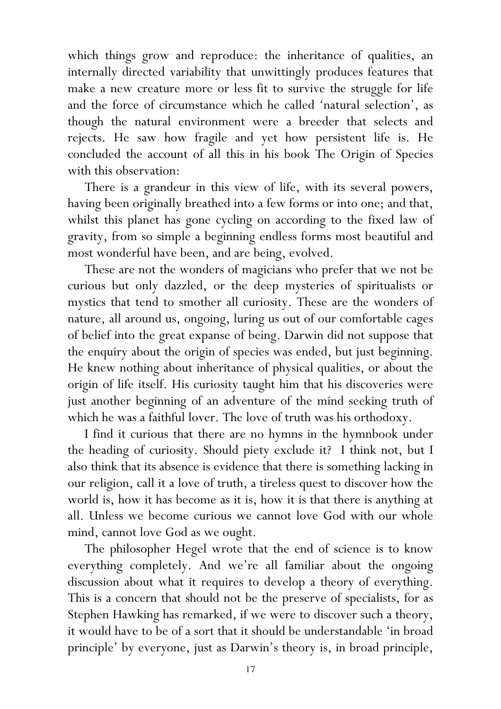which things grow and reproduce: the inheritance of qualities, an internally directed variability that unwittingly produces features that make a new creature more or less fit to survive the struggle for life and the force of circumstance which he called 'natural selection', as though the natural environment were a breeder that selects and rejects. He saw how fragile and yet how persistent life is. He concluded the account of all this in his book The Origin of Species with this observation:

There is a grandeur in this view of life, with its several powers, having been originally breathed into a few forms or into one; and that, whilst this planet has gone cycling on according to the fixed law of gravity, from so simple a beginning endless forms most beautiful and most wonderful have been, and are being, evolved.

These are not the wonders of magicians who prefer that we not be curious but only dazzled, or the deep mysteries of spiritualists or mystics that tend to smother all curiosity. These are the wonders of nature, all around us, ongoing, luring us out of our comfortable cages of belief into the great expanse of being. Darwin did not suppose that the enquiry about the origin of species was ended, but just beginning. He knew nothing about inheritance of physical qualities, or about the origin of life itself. His curiosity taught him that his discoveries were just another beginning of an adventure of the mind seeking truth of which he was a faithful lover. The love of truth was his orthodoxy.

 I find it curious that there are no hymns in the hymnbook under the heading of curiosity. Should piety exclude it? I think not, but I also think that its absence is evidence that there is something lacking in our religion, call it a love of truth, a tireless quest to discover how the world is, how it has become as it is, how it is that there is anything at all. Unless we become curious we cannot love God with our whole mind, cannot love God as we ought.

 The philosopher Hegel wrote that the end of science is to know everything completely. And we're all familiar about the ongoing discussion about what it requires to develop a theory of everything. This is a concern that should not be the preserve of specialists, for as Stephen Hawking has remarked, if we were to discover such a theory, it would have to be of a sort that it should be understandable 'in broad principle' by everyone, just as Darwin's theory is, in broad principle,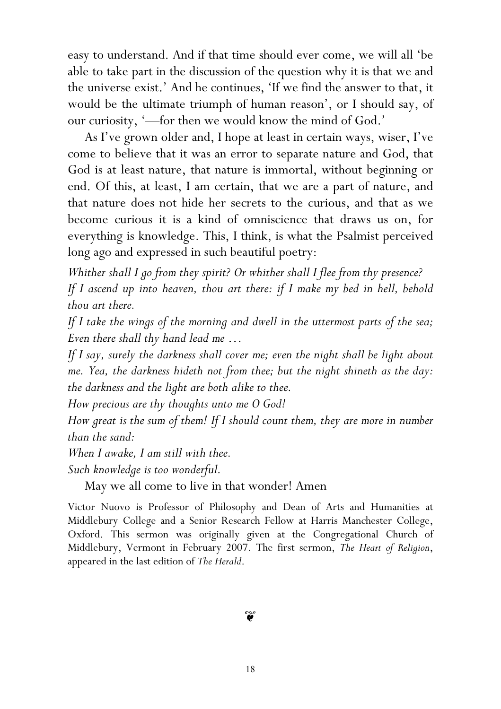easy to understand. And if that time should ever come, we will all 'be able to take part in the discussion of the question why it is that we and the universe exist.' And he continues, 'If we find the answer to that, it would be the ultimate triumph of human reason', or I should say, of our curiosity, '—for then we would know the mind of God.'

 As I've grown older and, I hope at least in certain ways, wiser, I've come to believe that it was an error to separate nature and God, that God is at least nature, that nature is immortal, without beginning or end. Of this, at least, I am certain, that we are a part of nature, and that nature does not hide her secrets to the curious, and that as we become curious it is a kind of omniscience that draws us on, for everything is knowledge. This, I think, is what the Psalmist perceived long ago and expressed in such beautiful poetry:

Whither shall I go from they spirit? Or whither shall I flee from thy presence?

If I ascend up into heaven, thou art there: if I make my bed in hell, behold thou art there.

If I take the wings of the morning and dwell in the uttermost parts of the sea; Even there shall thy hand lead me …

If I say, surely the darkness shall cover me; even the night shall be light about me. Yea, the darkness hideth not from thee; but the night shineth as the day: the darkness and the light are both alike to thee.

How precious are thy thoughts unto me O God!

How great is the sum of them! If I should count them, they are more in number than the sand:

When I awake, I am still with thee.

Such knowledge is too wonderful.

May we all come to live in that wonder! Amen

Victor Nuovo is Professor of Philosophy and Dean of Arts and Humanities at Middlebury College and a Senior Research Fellow at Harris Manchester College, Oxford. This sermon was originally given at the Congregational Church of Middlebury, Vermont in February 2007. The first sermon, The Heart of Religion, appeared in the last edition of The Herald.

## $\widetilde{\mathbf{v}}$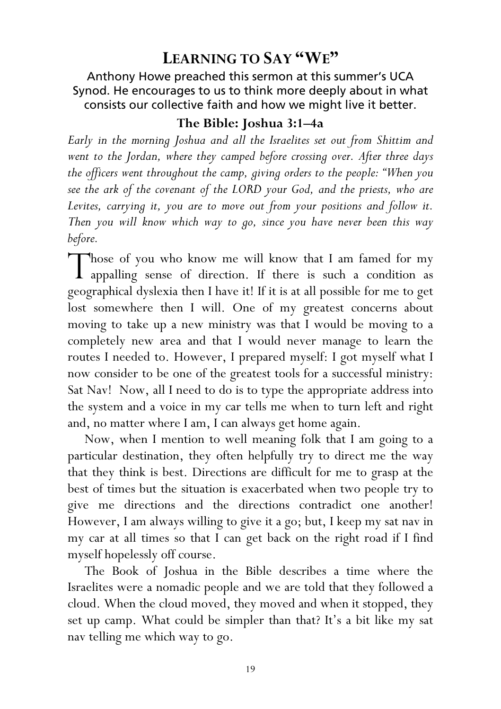## LEARNING TO SAY "WE"

Anthony Howe preached this sermon at this summer's UCA Synod. He encourages to us to think more deeply about in what consists our collective faith and how we might live it better.

#### The Bible: Joshua 3:1–4a

Early in the morning Joshua and all the Israelites set out from Shittim and went to the Jordan, where they camped before crossing over. After three days the officers went throughout the camp, giving orders to the people: "When you see the ark of the covenant of the LORD your God, and the priests, who are Levites, carrying it, you are to move out from your positions and follow it. Then you will know which way to go, since you have never been this way before.

Those of you who know me will know that I am famed for my appalling sense of direction. If there is such a condition as appalling sense of direction. If there is such a condition as geographical dyslexia then I have it! If it is at all possible for me to get lost somewhere then I will. One of my greatest concerns about moving to take up a new ministry was that I would be moving to a completely new area and that I would never manage to learn the routes I needed to. However, I prepared myself: I got myself what I now consider to be one of the greatest tools for a successful ministry: Sat Nav! Now, all I need to do is to type the appropriate address into the system and a voice in my car tells me when to turn left and right and, no matter where I am, I can always get home again.

Now, when I mention to well meaning folk that I am going to a particular destination, they often helpfully try to direct me the way that they think is best. Directions are difficult for me to grasp at the best of times but the situation is exacerbated when two people try to give me directions and the directions contradict one another! However, I am always willing to give it a go; but, I keep my sat nav in my car at all times so that I can get back on the right road if I find myself hopelessly off course.

The Book of Joshua in the Bible describes a time where the Israelites were a nomadic people and we are told that they followed a cloud. When the cloud moved, they moved and when it stopped, they set up camp. What could be simpler than that? It's a bit like my sat nav telling me which way to go.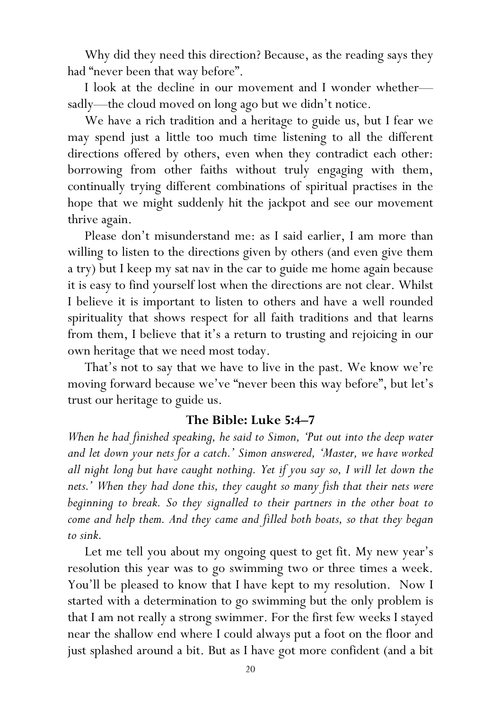Why did they need this direction? Because, as the reading says they had "never been that way before".

I look at the decline in our movement and I wonder whether sadly—the cloud moved on long ago but we didn't notice.

We have a rich tradition and a heritage to guide us, but I fear we may spend just a little too much time listening to all the different directions offered by others, even when they contradict each other: borrowing from other faiths without truly engaging with them, continually trying different combinations of spiritual practises in the hope that we might suddenly hit the jackpot and see our movement thrive again.

Please don't misunderstand me: as I said earlier, I am more than willing to listen to the directions given by others (and even give them a try) but I keep my sat nav in the car to guide me home again because it is easy to find yourself lost when the directions are not clear. Whilst I believe it is important to listen to others and have a well rounded spirituality that shows respect for all faith traditions and that learns from them, I believe that it's a return to trusting and rejoicing in our own heritage that we need most today.

That's not to say that we have to live in the past. We know we're moving forward because we've "never been this way before", but let's trust our heritage to guide us.

#### The Bible: Luke 5:4–7

When he had finished speaking, he said to Simon, 'Put out into the deep water and let down your nets for a catch.' Simon answered, 'Master, we have worked all night long but have caught nothing. Yet if you say so, I will let down the nets.' When they had done this, they caught so many fish that their nets were beginning to break. So they signalled to their partners in the other boat to come and help them. And they came and filled both boats, so that they began to sink.

Let me tell you about my ongoing quest to get fit. My new year's resolution this year was to go swimming two or three times a week. You'll be pleased to know that I have kept to my resolution. Now I started with a determination to go swimming but the only problem is that I am not really a strong swimmer. For the first few weeks I stayed near the shallow end where I could always put a foot on the floor and just splashed around a bit. But as I have got more confident (and a bit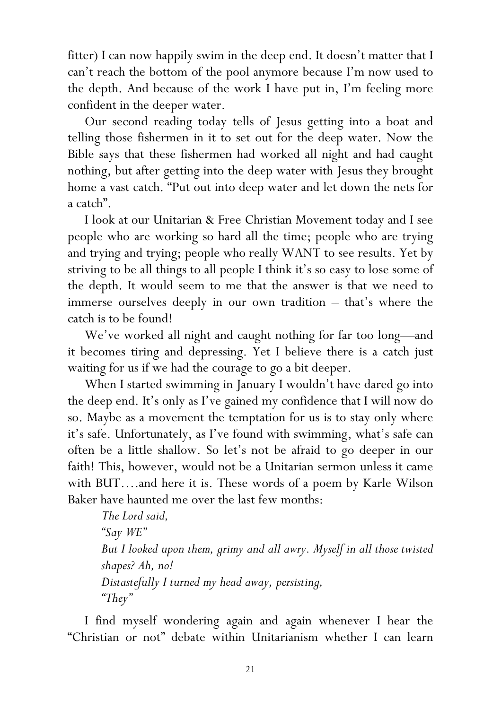fitter) I can now happily swim in the deep end. It doesn't matter that I can't reach the bottom of the pool anymore because I'm now used to the depth. And because of the work I have put in, I'm feeling more confident in the deeper water.

Our second reading today tells of Jesus getting into a boat and telling those fishermen in it to set out for the deep water. Now the Bible says that these fishermen had worked all night and had caught nothing, but after getting into the deep water with Jesus they brought home a vast catch. "Put out into deep water and let down the nets for a catch".

I look at our Unitarian & Free Christian Movement today and I see people who are working so hard all the time; people who are trying and trying and trying; people who really WANT to see results. Yet by striving to be all things to all people I think it's so easy to lose some of the depth. It would seem to me that the answer is that we need to immerse ourselves deeply in our own tradition – that's where the catch is to be found!

We've worked all night and caught nothing for far too long—and it becomes tiring and depressing. Yet I believe there is a catch just waiting for us if we had the courage to go a bit deeper.

When I started swimming in January I wouldn't have dared go into the deep end. It's only as I've gained my confidence that I will now do so. Maybe as a movement the temptation for us is to stay only where it's safe. Unfortunately, as I've found with swimming, what's safe can often be a little shallow. So let's not be afraid to go deeper in our faith! This, however, would not be a Unitarian sermon unless it came with BUT….and here it is. These words of a poem by Karle Wilson Baker have haunted me over the last few months:

The Lord said, "Say WE" But I looked upon them, grimy and all awry. Myself in all those twisted shapes? Ah, no! Distastefully I turned my head away, persisting, "They"

I find myself wondering again and again whenever I hear the "Christian or not" debate within Unitarianism whether I can learn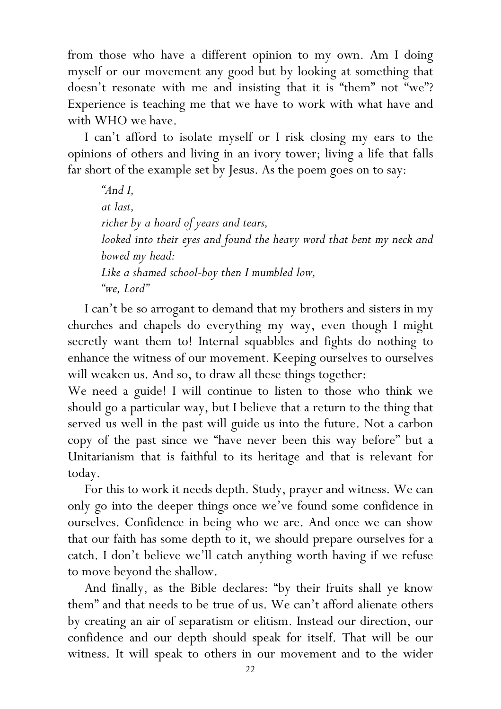from those who have a different opinion to my own. Am I doing myself or our movement any good but by looking at something that doesn't resonate with me and insisting that it is "them" not "we"? Experience is teaching me that we have to work with what have and with WHO we have.

I can't afford to isolate myself or I risk closing my ears to the opinions of others and living in an ivory tower; living a life that falls far short of the example set by Jesus. As the poem goes on to say:

"And I, at last, richer by a hoard of years and tears, looked into their eyes and found the heavy word that bent my neck and bowed my head: Like a shamed school-boy then I mumbled low, "we, Lord"

I can't be so arrogant to demand that my brothers and sisters in my churches and chapels do everything my way, even though I might secretly want them to! Internal squabbles and fights do nothing to enhance the witness of our movement. Keeping ourselves to ourselves will weaken us. And so, to draw all these things together:

We need a guide! I will continue to listen to those who think we should go a particular way, but I believe that a return to the thing that served us well in the past will guide us into the future. Not a carbon copy of the past since we "have never been this way before" but a Unitarianism that is faithful to its heritage and that is relevant for today.

For this to work it needs depth. Study, prayer and witness. We can only go into the deeper things once we've found some confidence in ourselves. Confidence in being who we are. And once we can show that our faith has some depth to it, we should prepare ourselves for a catch. I don't believe we'll catch anything worth having if we refuse to move beyond the shallow.

And finally, as the Bible declares: "by their fruits shall ye know them" and that needs to be true of us. We can't afford alienate others by creating an air of separatism or elitism. Instead our direction, our confidence and our depth should speak for itself. That will be our witness. It will speak to others in our movement and to the wider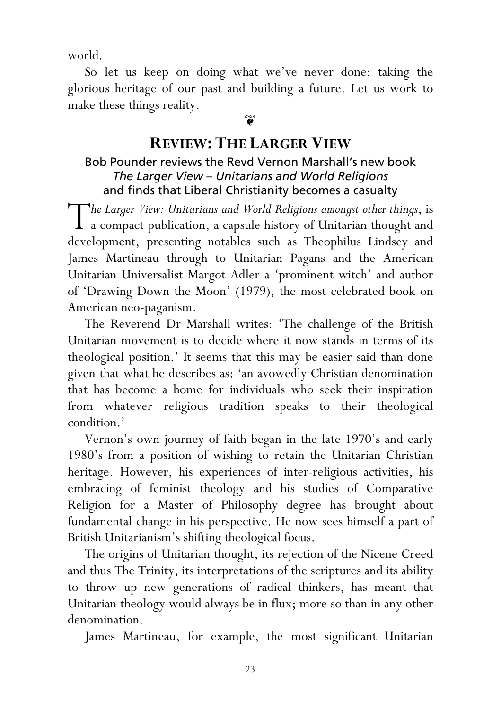world.

So let us keep on doing what we've never done: taking the glorious heritage of our past and building a future. Let us work to make these things reality.

## $\widetilde{\bullet}$

# REVIEW: THE LARGER VIEW

#### Bob Pounder reviews the Revd Vernon Marshall's new book The Larger View – Unitarians and World Religions and finds that Liberal Christianity becomes a casualty

he Larger View: Unitarians and World Religions amongst other things, is The Larger View: Unitarians and World Religions amongst other things, is<br>a compact publication, a capsule history of Unitarian thought and development, presenting notables such as Theophilus Lindsey and James Martineau through to Unitarian Pagans and the American Unitarian Universalist Margot Adler a 'prominent witch' and author of 'Drawing Down the Moon' (1979), the most celebrated book on American neo-paganism.

The Reverend Dr Marshall writes: 'The challenge of the British Unitarian movement is to decide where it now stands in terms of its theological position.' It seems that this may be easier said than done given that what he describes as: 'an avowedly Christian denomination that has become a home for individuals who seek their inspiration from whatever religious tradition speaks to their theological condition.'

Vernon's own journey of faith began in the late 1970's and early 1980's from a position of wishing to retain the Unitarian Christian heritage. However, his experiences of inter-religious activities, his embracing of feminist theology and his studies of Comparative Religion for a Master of Philosophy degree has brought about fundamental change in his perspective. He now sees himself a part of British Unitarianism's shifting theological focus.

The origins of Unitarian thought, its rejection of the Nicene Creed and thus The Trinity, its interpretations of the scriptures and its ability to throw up new generations of radical thinkers, has meant that Unitarian theology would always be in flux; more so than in any other denomination.

James Martineau, for example, the most significant Unitarian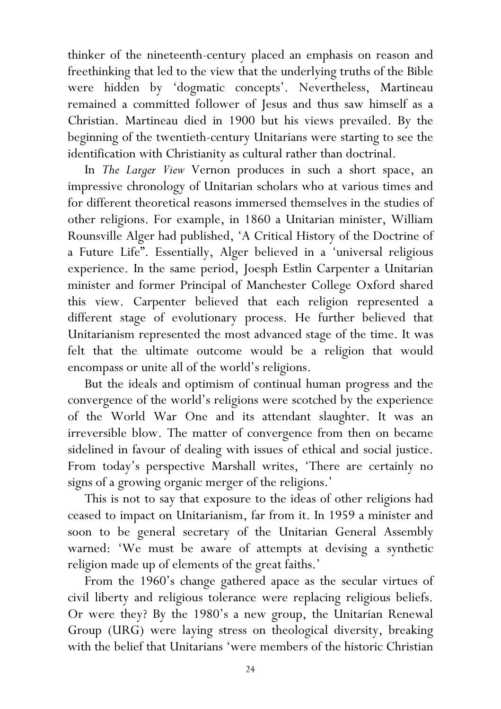thinker of the nineteenth-century placed an emphasis on reason and freethinking that led to the view that the underlying truths of the Bible were hidden by 'dogmatic concepts'. Nevertheless, Martineau remained a committed follower of Jesus and thus saw himself as a Christian. Martineau died in 1900 but his views prevailed. By the beginning of the twentieth-century Unitarians were starting to see the identification with Christianity as cultural rather than doctrinal.

In The Larger View Vernon produces in such a short space, an impressive chronology of Unitarian scholars who at various times and for different theoretical reasons immersed themselves in the studies of other religions. For example, in 1860 a Unitarian minister, William Rounsville Alger had published, 'A Critical History of the Doctrine of a Future Life". Essentially, Alger believed in a 'universal religious experience. In the same period, Joesph Estlin Carpenter a Unitarian minister and former Principal of Manchester College Oxford shared this view. Carpenter believed that each religion represented a different stage of evolutionary process. He further believed that Unitarianism represented the most advanced stage of the time. It was felt that the ultimate outcome would be a religion that would encompass or unite all of the world's religions.

But the ideals and optimism of continual human progress and the convergence of the world's religions were scotched by the experience of the World War One and its attendant slaughter. It was an irreversible blow. The matter of convergence from then on became sidelined in favour of dealing with issues of ethical and social justice. From today's perspective Marshall writes, 'There are certainly no signs of a growing organic merger of the religions.'

This is not to say that exposure to the ideas of other religions had ceased to impact on Unitarianism, far from it. In 1959 a minister and soon to be general secretary of the Unitarian General Assembly warned: 'We must be aware of attempts at devising a synthetic religion made up of elements of the great faiths.'

From the 1960's change gathered apace as the secular virtues of civil liberty and religious tolerance were replacing religious beliefs. Or were they? By the 1980's a new group, the Unitarian Renewal Group (URG) were laying stress on theological diversity, breaking with the belief that Unitarians 'were members of the historic Christian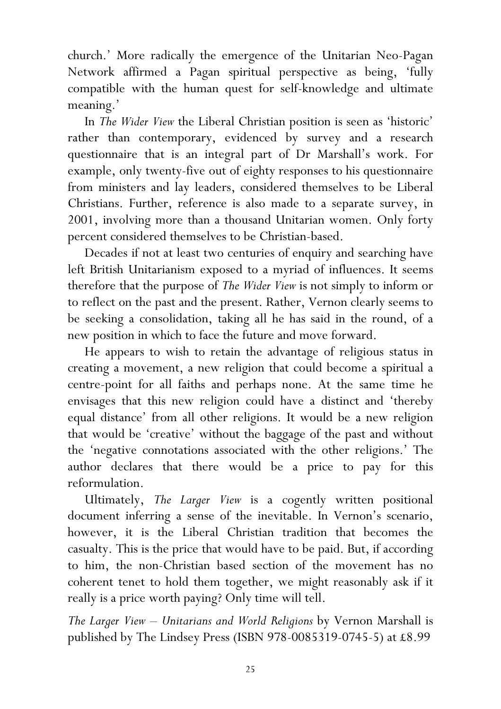church.' More radically the emergence of the Unitarian Neo-Pagan Network affirmed a Pagan spiritual perspective as being, 'fully compatible with the human quest for self-knowledge and ultimate meaning.'

In The Wider View the Liberal Christian position is seen as 'historic' rather than contemporary, evidenced by survey and a research questionnaire that is an integral part of Dr Marshall's work. For example, only twenty-five out of eighty responses to his questionnaire from ministers and lay leaders, considered themselves to be Liberal Christians. Further, reference is also made to a separate survey, in 2001, involving more than a thousand Unitarian women. Only forty percent considered themselves to be Christian-based.

Decades if not at least two centuries of enquiry and searching have left British Unitarianism exposed to a myriad of influences. It seems therefore that the purpose of The Wider View is not simply to inform or to reflect on the past and the present. Rather, Vernon clearly seems to be seeking a consolidation, taking all he has said in the round, of a new position in which to face the future and move forward.

He appears to wish to retain the advantage of religious status in creating a movement, a new religion that could become a spiritual a centre-point for all faiths and perhaps none. At the same time he envisages that this new religion could have a distinct and 'thereby equal distance' from all other religions. It would be a new religion that would be 'creative' without the baggage of the past and without the 'negative connotations associated with the other religions.' The author declares that there would be a price to pay for this reformulation.

Ultimately, The Larger View is a cogently written positional document inferring a sense of the inevitable. In Vernon's scenario, however, it is the Liberal Christian tradition that becomes the casualty. This is the price that would have to be paid. But, if according to him, the non-Christian based section of the movement has no coherent tenet to hold them together, we might reasonably ask if it really is a price worth paying? Only time will tell.

The Larger View – Unitarians and World Religions by Vernon Marshall is published by The Lindsey Press (ISBN 978-0085319-0745-5) at £8.99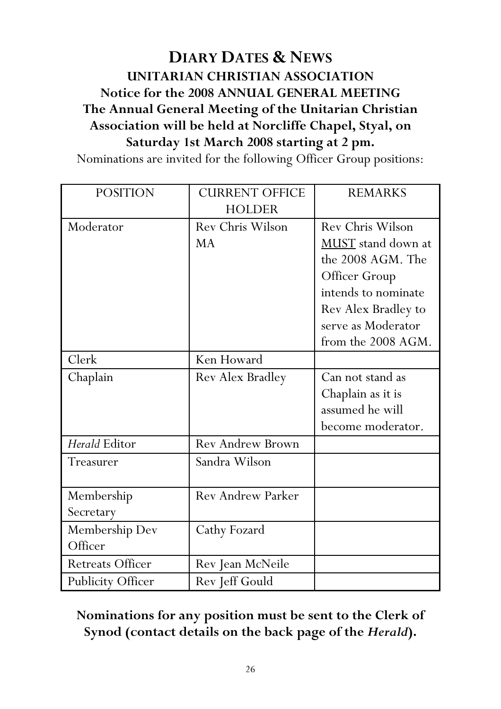# DIARY DATES & NEWS UNITARIAN CHRISTIAN ASSOCIATION Notice for the 2008 ANNUAL GENERAL MEETING The Annual General Meeting of the Unitarian Christian Association will be held at Norcliffe Chapel, Styal, on Saturday 1st March 2008 starting at 2 pm.

Nominations are invited for the following Officer Group positions:

| <b>POSITION</b>   | <b>CURRENT OFFICE</b>    | <b>REMARKS</b>      |
|-------------------|--------------------------|---------------------|
|                   | <b>HOLDER</b>            |                     |
| Moderator         | Rev Chris Wilson         | Rev Chris Wilson    |
|                   | <b>MA</b>                | MUST stand down at  |
|                   |                          | the 2008 AGM. The   |
|                   |                          | Officer Group       |
|                   |                          | intends to nominate |
|                   |                          | Rev Alex Bradley to |
|                   |                          | serve as Moderator  |
|                   |                          | from the 2008 AGM.  |
| Clerk             | Ken Howard               |                     |
| Chaplain          | Rev Alex Bradley         | Can not stand as    |
|                   |                          | Chaplain as it is   |
|                   |                          | assumed he will     |
|                   |                          | become moderator.   |
| Herald Editor     | <b>Rev Andrew Brown</b>  |                     |
| Treasurer         | Sandra Wilson            |                     |
|                   |                          |                     |
| Membership        | <b>Rev Andrew Parker</b> |                     |
| Secretary         |                          |                     |
| Membership Dev    | Cathy Fozard             |                     |
| Officer           |                          |                     |
| Retreats Officer  | Rev Jean McNeile         |                     |
| Publicity Officer | Rev Jeff Gould           |                     |

## Nominations for any position must be sent to the Clerk of Synod (contact details on the back page of the Herald).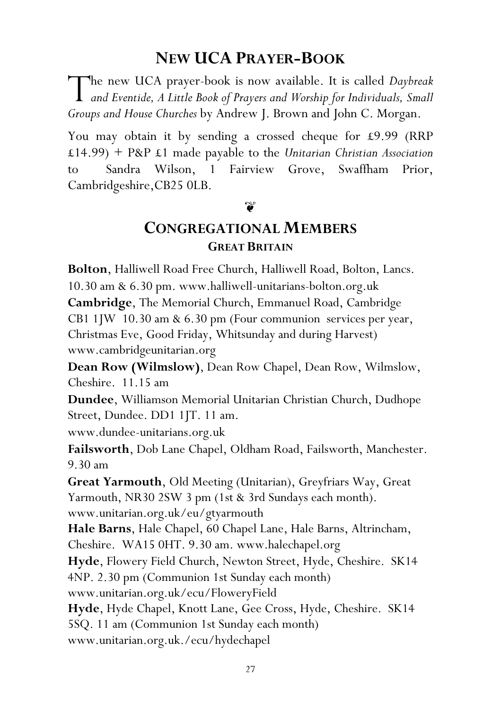# NEW UCA PRAYER-BOOK

**The new UCA prayer-book is now available. It is called Daybreak** The new UCA prayer-book is now available. It is called *Daybreak* and Eventide, A Little Book of Prayers and Worship for Individuals, Small Groups and House Churches by Andrew J. Brown and John C. Morgan.

You may obtain it by sending a crossed cheque for £9.99 (RRP  $£14.99$  + P&P £1 made payable to the Unitarian Christian Association to Sandra Wilson, 1 Fairview Grove, Swaffham Prior, Cambridgeshire,CB25 0LB.

#### ิชั

# CONGREGATIONAL MEMBERS GREAT BRITAIN

Bolton, Halliwell Road Free Church, Halliwell Road, Bolton, Lancs. 10.30 am & 6.30 pm. www.halliwell-unitarians-bolton.org.uk Cambridge, The Memorial Church, Emmanuel Road, Cambridge CB1 1JW 10.30 am & 6.30 pm (Four communion services per year, Christmas Eve, Good Friday, Whitsunday and during Harvest) www.cambridgeunitarian.org

Dean Row (Wilmslow), Dean Row Chapel, Dean Row, Wilmslow, Cheshire. 11.15 am

Dundee, Williamson Memorial Unitarian Christian Church, Dudhope Street, Dundee. DD1 1JT. 11 am.

www.dundee-unitarians.org.uk

Failsworth, Dob Lane Chapel, Oldham Road, Failsworth, Manchester. 9.30 am

Great Yarmouth, Old Meeting (Unitarian), Greyfriars Way, Great Yarmouth, NR30 2SW 3 pm (1st & 3rd Sundays each month). www.unitarian.org.uk/eu/gtyarmouth

Hale Barns, Hale Chapel, 60 Chapel Lane, Hale Barns, Altrincham, Cheshire. WA15 0HT. 9.30 am. www.halechapel.org

Hyde, Flowery Field Church, Newton Street, Hyde, Cheshire. SK14 4NP. 2.30 pm (Communion 1st Sunday each month) www.unitarian.org.uk/ecu/FloweryField

Hyde, Hyde Chapel, Knott Lane, Gee Cross, Hyde, Cheshire. SK14 5SQ. 11 am (Communion 1st Sunday each month) www.unitarian.org.uk./ecu/hydechapel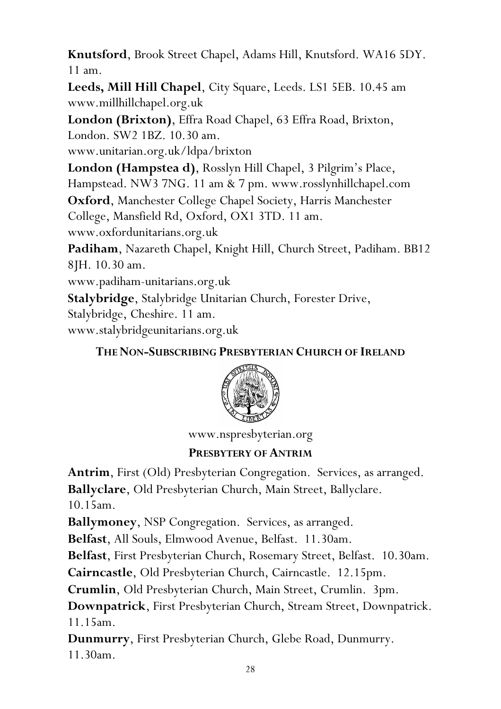Knutsford, Brook Street Chapel, Adams Hill, Knutsford. WA16 5DY. 11 am.

Leeds, Mill Hill Chapel, City Square, Leeds. LS1 5EB. 10.45 am www.millhillchapel.org.uk

London (Brixton), Effra Road Chapel, 63 Effra Road, Brixton, London. SW2 1BZ. 10.30 am.

www.unitarian.org.uk/ldpa/brixton

London (Hampstea d), Rosslyn Hill Chapel, 3 Pilgrim's Place, Hampstead. NW3 7NG. 11 am & 7 pm. www.rosslynhillchapel.com

Oxford, Manchester College Chapel Society, Harris Manchester College, Mansfield Rd, Oxford, OX1 3TD. 11 am. www.oxfordunitarians.org.uk

Padiham, Nazareth Chapel, Knight Hill, Church Street, Padiham. BB12

8JH. 10.30 am.

www.padiham-unitarians.org.uk

Stalybridge, Stalybridge Unitarian Church, Forester Drive,

Stalybridge, Cheshire. 11 am.

www.stalybridgeunitarians.org.uk

## THE NON-SUBSCRIBING PRESBYTERIAN CHURCH OF IRELAND



www.nspresbyterian.org

## PRESBYTERY OF ANTRIM

Antrim, First (Old) Presbyterian Congregation. Services, as arranged. Ballyclare, Old Presbyterian Church, Main Street, Ballyclare.

10.15am.

Ballymoney, NSP Congregation. Services, as arranged.

Belfast, All Souls, Elmwood Avenue, Belfast. 11.30am.

Belfast, First Presbyterian Church, Rosemary Street, Belfast. 10.30am.

Cairncastle, Old Presbyterian Church, Cairncastle. 12.15pm.

Crumlin, Old Presbyterian Church, Main Street, Crumlin. 3pm.

Downpatrick, First Presbyterian Church, Stream Street, Downpatrick. 11.15am.

Dunmurry, First Presbyterian Church, Glebe Road, Dunmurry. 11.30am.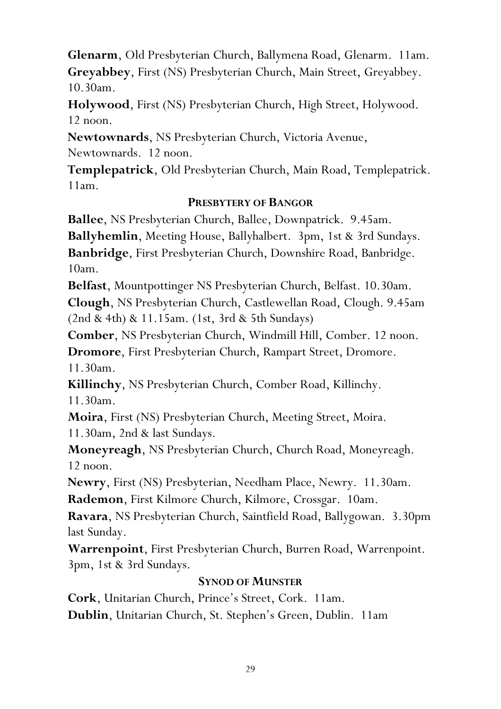Glenarm, Old Presbyterian Church, Ballymena Road, Glenarm. 11am. Greyabbey, First (NS) Presbyterian Church, Main Street, Greyabbey. 10.30am.

Holywood, First (NS) Presbyterian Church, High Street, Holywood. 12 noon.

Newtownards, NS Presbyterian Church, Victoria Avenue,

Newtownards. 12 noon.

Templepatrick, Old Presbyterian Church, Main Road, Templepatrick. 11am.

#### PRESBYTERY OF BANGOR

Ballee, NS Presbyterian Church, Ballee, Downpatrick. 9.45am.

Ballyhemlin, Meeting House, Ballyhalbert. 3pm, 1st & 3rd Sundays. Banbridge, First Presbyterian Church, Downshire Road, Banbridge.

10am.

Belfast, Mountpottinger NS Presbyterian Church, Belfast. 10.30am.

Clough, NS Presbyterian Church, Castlewellan Road, Clough. 9.45am (2nd & 4th) & 11.15am. (1st, 3rd & 5th Sundays)

Comber, NS Presbyterian Church, Windmill Hill, Comber. 12 noon.

Dromore, First Presbyterian Church, Rampart Street, Dromore. 11.30am.

Killinchy, NS Presbyterian Church, Comber Road, Killinchy. 11.30am.

Moira, First (NS) Presbyterian Church, Meeting Street, Moira. 11.30am, 2nd & last Sundays.

Moneyreagh, NS Presbyterian Church, Church Road, Moneyreagh. 12 noon.

Newry, First (NS) Presbyterian, Needham Place, Newry. 11.30am.

Rademon, First Kilmore Church, Kilmore, Crossgar. 10am.

Ravara, NS Presbyterian Church, Saintfield Road, Ballygowan. 3.30pm last Sunday.

Warrenpoint, First Presbyterian Church, Burren Road, Warrenpoint. 3pm, 1st & 3rd Sundays.

#### SYNOD OF MUNSTER

Cork, Unitarian Church, Prince's Street, Cork. 11am. Dublin, Unitarian Church, St. Stephen's Green, Dublin. 11am